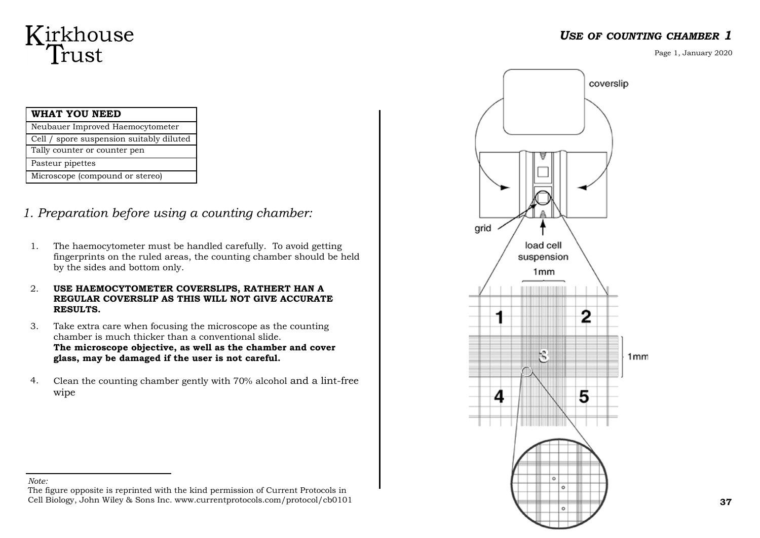# Kirkhouse<br>Trust

| WHAT YOU NEED                            |
|------------------------------------------|
| Neubauer Improved Haemocytometer         |
| Cell / spore suspension suitably diluted |
| Tally counter or counter pen             |
| Pasteur pipettes                         |
| Microscope (compound or stereo)          |

*1. Preparation before using a counting chamber:*

- 1. The haemocytometer must be handled carefully. To avoid getting fingerprints on the ruled areas, the counting chamber should be held by the sides and bottom only.
- 2. **USE HAEMOCYTOMETER COVERSLIPS, RATHERT HAN A REGULAR COVERSLIP AS THIS WILL NOT GIVE ACCURATE RESULTS.**
- 3. Take extra care when focusing the microscope as the counting chamber is much thicker than a conventional slide. **The microscope objective, as well as the chamber and cover glass, may be damaged if the user is not careful.**
- 4. Clean the counting chamber gently with 70% alcohol and a lint-free wipe



### *USE OF COUNTING CHAMBER 1*

Page 1, January 2020

*Note:* 

The figure opposite is reprinted with the kind permission of Current Protocols in Cell Biology, John Wiley & Sons Inc. www.currentprotocols.com/protocol/cb0101